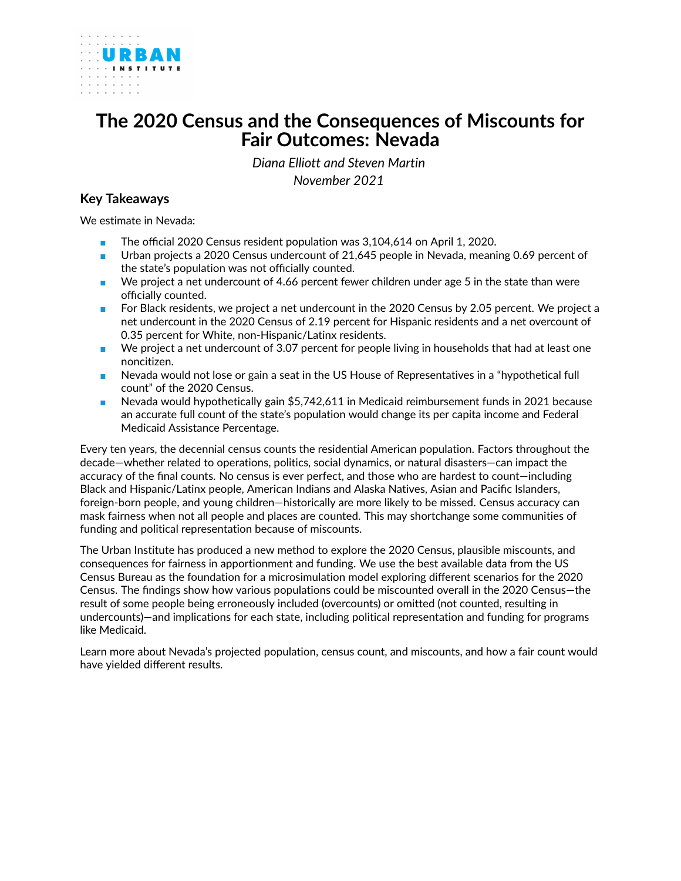<span id="page-0-0"></span>

# **The 2020 Census and the Consequences of Miscounts for Fair Outcomes: Nevada**

*Diana Elliott and Steven Martin November 2021*

## **Key Takeaways**

We estimate in Nevada:

- The official 2020 Census resident population was 3,104,614 on April 1, 2020.
- Urban projects a 2020 Census undercount of 21,645 people in Nevada, meaning 0.69 percent of the state's population was not officially counted.
- We project a net undercount of 4.66 percent fewer children under age 5 in the state than were officially counted.
- For Black residents, we project a net undercount in the 2020 Census by 2.05 percent. We project a net undercount in the 2020 Census of 2.19 percent for Hispanic residents and a net overcount of 0.35 percent for White, non-Hispanic/Latinx residents.
- We project a net undercount of 3.07 percent for people living in households that had at least one noncitizen.
- Nevada would not lose or gain a seat in the US House of Representatives in a "hypothetical full count" of the 2020 Census.
- Nevada would hypothetically gain \$5,742,611 in Medicaid reimbursement funds in 2021 because an accurate full count of the state's population would change its per capita income and Federal Medicaid Assistance Percentage.

Every ten years, the decennial census counts the residential American population. Factors throughout the decade—whether related to operations, politics, social dynamics, or natural disasters—can impact the accuracy of the final counts. No census is ever perfect, and those who are hardest to count—including Black and Hispanic/Latinx people, American Indians and Alaska Natives, Asian and Pacific Islanders, foreign-born people, and young children—historically are more likely to be missed. Census accuracy can mask fairness when not all people and places are counted. This may shortchange some communities of funding and political representation because of miscounts.

The Urban Institute has produced a new method to explore the 2020 Census, plausible miscounts, and consequences for fairness in apportionment and funding. We use the best available data from the US Census Bureau as the foundation for a microsimulation model exploring different scenarios for the 2020 Census. The findings show how various populations could be miscounted overall in the 2020 Census—the result of some people being erroneously included (overcounts) or omitted (not counted, resulting in undercounts)—and implications for each state, including political representation and funding for programs like Medicaid.

Learn more about Nevada's projected population, census count, and miscounts, and how a fair count would have yielded different results.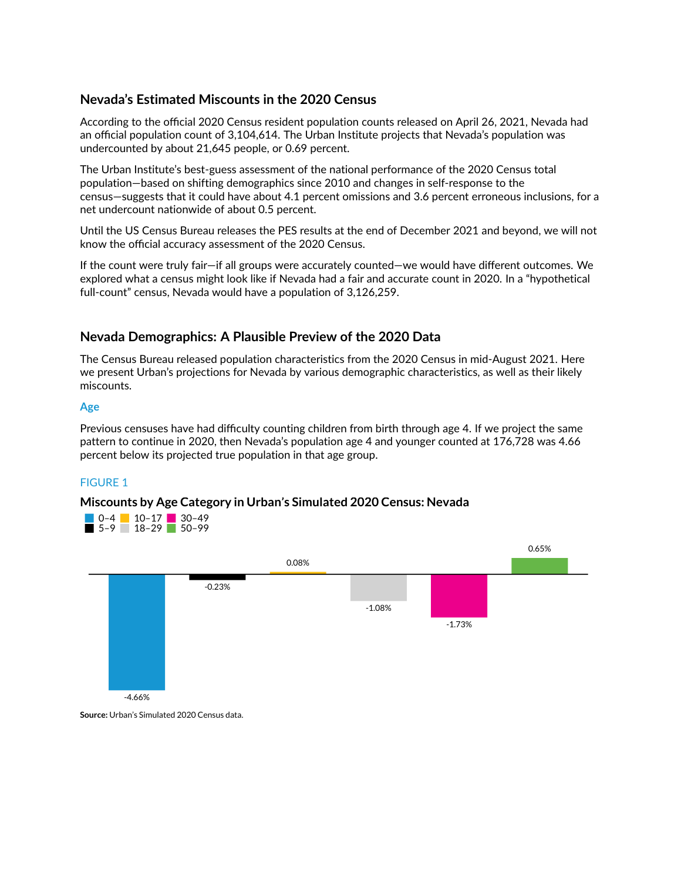## **Nevada's Estimated Miscounts in the 2020 Census**

According to the official 2020 Census resident population counts released on April 26, 2021, Nevada had an official population count of 3,104,614. The Urban Institute projects that Nevada's population was undercounted by about 21,645 people, or 0.69 percent.

The Urban Institute's best-guess assessment of the national performance of the 2020 Census total population—based on shifting demographics since 2010 and changes in self-response to the census—suggests that it could have about 4.1 percent omissions and 3.6 percent erroneous inclusions, for a net undercount nationwide of about 0.5 percent.

Until the US Census Bureau releases the PES results at the end of December 2021 and beyond, we will not know the official accuracy assessment of the 2020 Census.

If the count were truly fair—if all groups were accurately counted—we would have different outcomes. We explored what a census might look like if Nevada had a fair and accurate count in 2020. In a "hypothetical full-count" census, Nevada would have a population of 3,126,259.

## **Nevada Demographics: A Plausible Preview of the 2020 Data**

The Census Bureau released population characteristics from the 2020 Census in mid-August 2021. Here we present Urban's projections for Nevada by various demographic characteristics, as well as their likely miscounts.

#### **Age**

Previous censuses have had difficulty counting children from birth through age 4. If we project the same pattern to continue in 2020, then Nevada's population age 4 and younger counted at 176,728 was 4.66 percent below its projected true population in that age group.

## FIGURE 1

## **Miscounts by Age Category in Urban's Simulated 2020 Census: Nevada**





**Source:** Urban's Simulated 2020 Census data.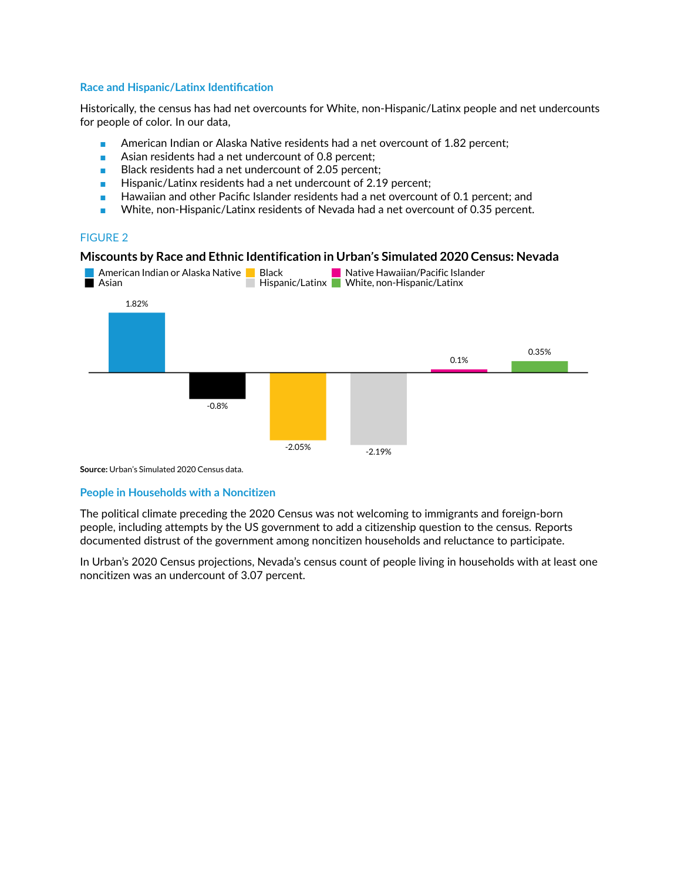#### **Race and Hispanic/Latinx Identification**

Historically, the census has had net overcounts for White, non-Hispanic/Latinx people and net undercounts for people of color. In our data,

- American Indian or Alaska Native residents had a net overcount of 1.82 percent;
- Asian residents had a net undercount of 0.8 percent;
- Black residents had a net undercount of 2.05 percent;
- Hispanic/Latinx residents had a net undercount of 2.19 percent;
- Hawaiian and other Pacific Islander residents had a net overcount of 0.1 percent; and
- White, non-Hispanic/Latinx residents of Nevada had a net overcount of 0.35 percent.

## FIGURE 2

#### **Miscounts by Race and Ethnic Identification in Urban's Simulated 2020 Census: Nevada**



**Source:** Urban's Simulated 2020 Census data.

## **People in Households with a Noncitizen**

The political climate preceding the 2020 Census was not welcoming to immigrants and foreign-born people, including attempts by the US government to add a citizenship question to the census. Reports documented distrust of the government among noncitizen households and reluctance to participate.

In Urban's 2020 Census projections, Nevada's census count of people living in households with at least one noncitizen was an undercount of 3.07 percent.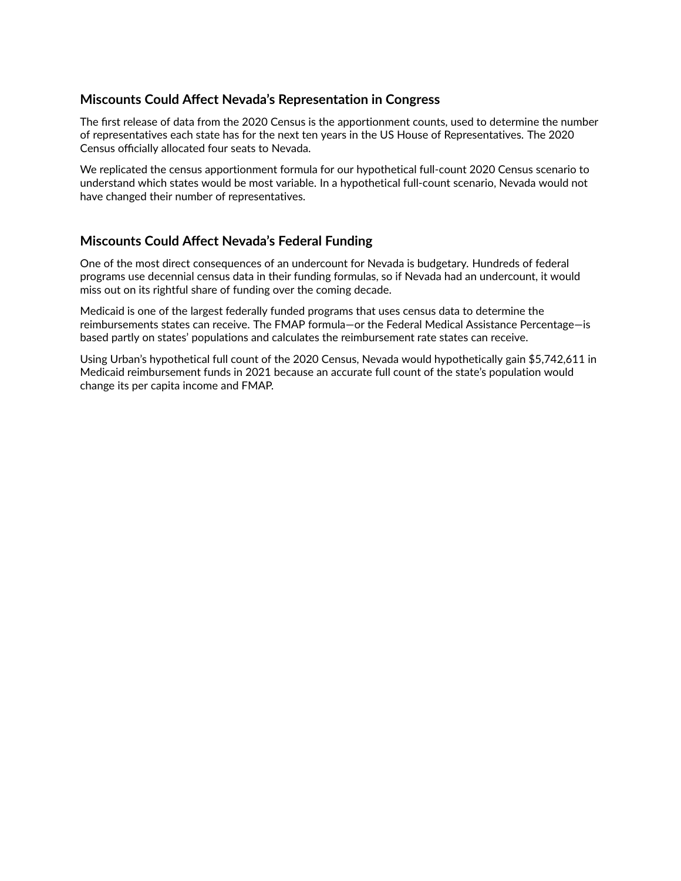# **Miscounts Could Affect Nevada's Representation in Congress**

The first release of data from the 2020 Census is the apportionment counts, used to determine the number of representatives each state has for the next ten years in the US House of Representatives. The 2020 Census officially allocated four seats to Nevada.

We replicated the census apportionment formula for our hypothetical full-count 2020 Census scenario to understand which states would be most variable. In a hypothetical full-count scenario, Nevada would not have changed their number of representatives.

# **Miscounts Could Affect Nevada's Federal Funding**

One of the most direct consequences of an undercount for Nevada is budgetary. Hundreds of federal programs use decennial census data in their funding formulas, so if Nevada had an undercount, it would miss out on its rightful share of funding over the coming decade.

Medicaid is one of the largest federally funded programs that uses census data to determine the reimbursements states can receive. The FMAP formula—or the Federal Medical Assistance Percentage—is based partly on states' populations and calculates the reimbursement rate states can receive.

Using Urban's hypothetical full count of the 2020 Census, Nevada would hypothetically gain \$5,742,611 in Medicaid reimbursement funds in 2021 because an accurate full count of the state's population would change its per capita income and FMAP.